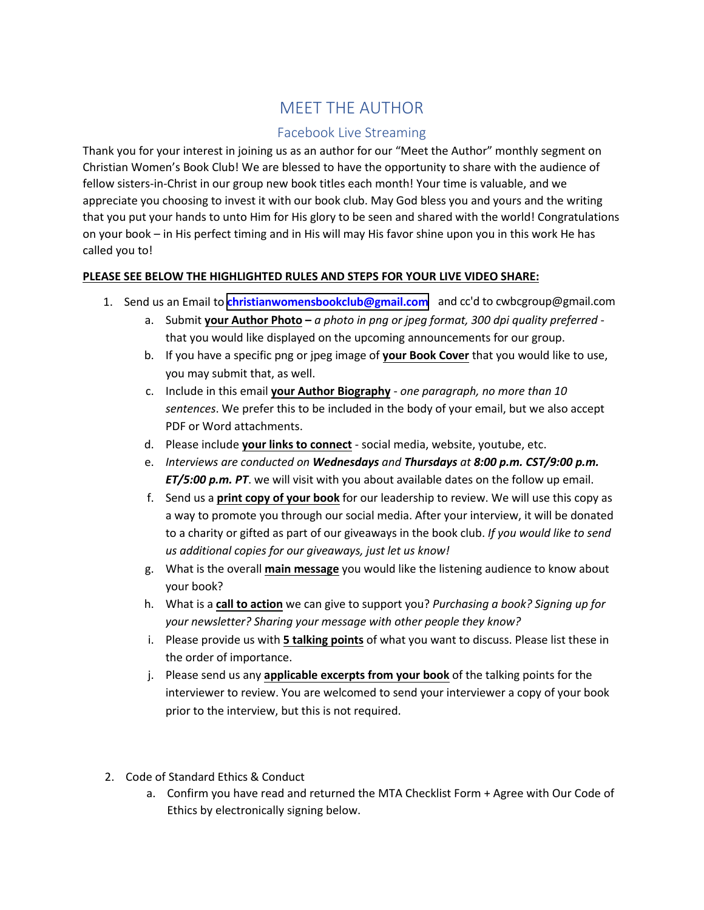# MEET THE AUTHOR

# Facebook Live Streaming

Thank you for your interest in joining us as an author for our "Meet the Author" monthly segment on Christian Women's Book Club! We are blessed to have the opportunity to share with the audience of fellow sisters-in-Christ in our group new book titles each month! Your time is valuable, and we appreciate you choosing to invest it with our book club. May God bless you and yours and the writing that you put your hands to unto Him for His glory to be seen and shared with the world! Congratulations on your book – in His perfect timing and in His will may His favor shine upon you in this work He has called you to!

### **PLEASE SEE BELOW THE HIGHLIGHTED RULES AND STEPS FOR YOUR LIVE VIDEO SHARE:**

- 1. Send us an Email to **[christianwomensbookclub@gmail.com](mailto:christianwomensbookclub@gmail.com)** and cc'd to cwbcgroup@gmail.com
	- a. Submit **your Author Photo** *a photo in png or jpeg format, 300 dpi quality preferred* that you would like displayed on the upcoming announcements for our group.
	- b. If you have a specific png or jpeg image of **your Book Cover** that you would like to use, you may submit that, as well.
	- c. Include in this email **your Author Biography** *one paragraph, no more than 10 sentences*. We prefer this to be included in the body of your email, but we also accept PDF or Word attachments.
	- d. Please include **your links to connect** social media, website, youtube, etc.
	- e. *Interviews are conducted on Wednesdays and Thursdays at 8:00 p.m. CST/9:00 p.m. ET/5:00 p.m. PT*. we will visit with you about available dates on the follow up email.
	- f. Send us a **print copy of your book** for our leadership to review. We will use this copy as a way to promote you through our social media. After your interview, it will be donated to a charity or gifted as part of our giveaways in the book club. *If you would like to send us additional copies for our giveaways, just let us know!*
	- g. What is the overall **main message** you would like the listening audience to know about your book?
	- h. What is a **call to action** we can give to support you? *Purchasing a book? Signing up for your newsletter? Sharing your message with other people they know?*
	- i. Please provide us with **5 talking points** of what you want to discuss. Please list these in the order of importance.
	- j. Please send us any **applicable excerpts from your book** of the talking points for the interviewer to review. You are welcomed to send your interviewer a copy of your book prior to the interview, but this is not required.
- 2. Code of Standard Ethics & Conduct
	- a. Confirm you have read and returned the MTA Checklist Form + Agree with Our Code of Ethics by electronically signing below.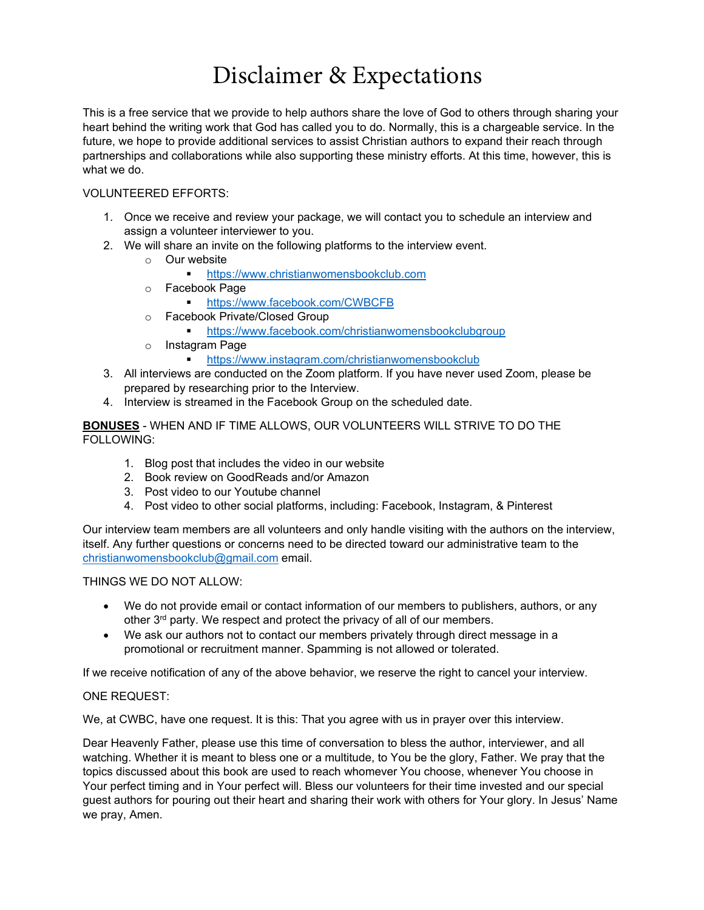# Disclaimer & Expectations

This is a free service that we provide to help authors share the love of God to others through sharing your heart behind the writing work that God has called you to do. Normally, this is a chargeable service. In the future, we hope to provide additional services to assist Christian authors to expand their reach through partnerships and collaborations while also supporting these ministry efforts. At this time, however, this is what we do.

#### VOLUNTEERED EFFORTS:

- 1. Once we receive and review your package, we will contact you to schedule an interview and assign a volunteer interviewer to you.
- 2. We will share an invite on the following platforms to the interview event.
	- $\circ$  Our website
		- [https://www.christianwomensbookclub.com](https://www.christianwomensbookclub.com/)
	- o Facebook Page
		- **<https://www.facebook.com/CWBCFB>**
	- o Facebook Private/Closed Group
		- <https://www.facebook.com/christianwomensbookclubgroup>
	- o Instagram Page
		- [https://www.instagram.com/christianwomensbookclub](https://www.instagram.com/christianwomensbookclub/)
- 3. All interviews are conducted on the Zoom platform. If you have never used Zoom, please be prepared by researching prior to the Interview.
- 4. Interview is streamed in the Facebook Group on the scheduled date.

#### **BONUSES** - WHEN AND IF TIME ALLOWS, OUR VOLUNTEERS WILL STRIVE TO DO THE FOLLOWING:

- 1. Blog post that includes the video in our website
- 2. Book review on GoodReads and/or Amazon
- 3. Post video to our Youtube channel
- 4. Post video to other social platforms, including: Facebook, Instagram, & Pinterest

Our interview team members are all volunteers and only handle visiting with the authors on the interview, itself. Any further questions or concerns need to be directed toward our administrative team to the [christianwomensbookclub@gmail.com](mailto:christianwomensbookclub@gmail.com) email.

#### THINGS WE DO NOT ALLOW:

- We do not provide email or contact information of our members to publishers, authors, or any other 3<sup>rd</sup> party. We respect and protect the privacy of all of our members.
- We ask our authors not to contact our members privately through direct message in a promotional or recruitment manner. Spamming is not allowed or tolerated.

If we receive notification of any of the above behavior, we reserve the right to cancel your interview.

#### ONE REQUEST:

We, at CWBC, have one request. It is this: That you agree with us in prayer over this interview.

Dear Heavenly Father, please use this time of conversation to bless the author, interviewer, and all watching. Whether it is meant to bless one or a multitude, to You be the glory, Father. We pray that the topics discussed about this book are used to reach whomever You choose, whenever You choose in Your perfect timing and in Your perfect will. Bless our volunteers for their time invested and our special guest authors for pouring out their heart and sharing their work with others for Your glory. In Jesus' Name we pray, Amen.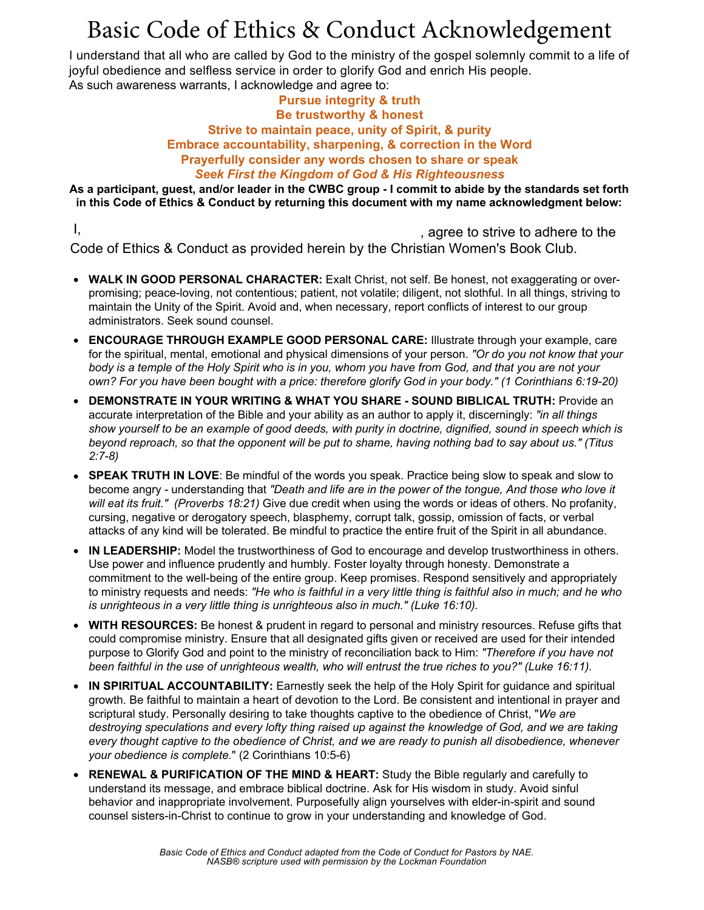# Basic Code of Ethics & Conduct Acknowledgement

I understand that all who are called by God to the ministry of the gospel solemnly commit to a life of joyful obedience and selfless service in order to glorify God and enrich His people. As such awareness warrants, I acknowledge and agree to:

#### **Pursue integrity & truth Be trustworthy & honest Strive to maintain peace, unity of Spirit, & purity Embrace accountability, sharpening, & correction in the Word Prayerfully consider any words chosen to share or speak** *Seek First the Kingdom of God & His Righteousness*

**As a participant, guest, and/or leader in the CWBC group - I commit to abide by the standards set forth in this Code of Ethics & Conduct by returning this document with my name acknowledgment below:**

I, agree to strive to adhere to the Code of Ethics & Conduct as provided herein by the Christian Women's Book Club.

- **WALK IN GOOD PERSONAL CHARACTER:** Exalt Christ, not self. Be honest, not exaggerating or overpromising; peace-loving, not contentious; patient, not volatile; diligent, not slothful. In all things, striving to maintain the Unity of the Spirit. Avoid and, when necessary, report conflicts of interest to our group administrators. Seek sound counsel.
- **ENCOURAGE THROUGH EXAMPLE GOOD PERSONAL CARE:** Illustrate through your example, care for the spiritual, mental, emotional and physical dimensions of your person. *"Or do you not know that your body is a temple of the Holy Spirit who is in you, whom you have from God, and that you are not your own? For you have been bought with a price: therefore glorify God in your body." (1 Corinthians 6:19-20)*
- **DEMONSTRATE IN YOUR WRITING & WHAT YOU SHARE - SOUND BIBLICAL TRUTH:** Provide an accurate interpretation of the Bible and your ability as an author to apply it, discerningly: *"in all things show yourself to be an example of good deeds, with purity in doctrine, dignified, sound in speech which is beyond reproach, so that the opponent will be put to shame, having nothing bad to say about us." (Titus 2:7-8)*
- **SPEAK TRUTH IN LOVE**: Be mindful of the words you speak. Practice being slow to speak and slow to become angry - understanding that *"Death and life are in the power of the tongue, And those who love it will eat its fruit." (Proverbs 18:21)* Give due credit when using the words or ideas of others. No profanity, cursing, negative or derogatory speech, blasphemy, corrupt talk, gossip, omission of facts, or verbal attacks of any kind will be tolerated. Be mindful to practice the entire fruit of the Spirit in all abundance.
- **IN LEADERSHIP:** Model the trustworthiness of God to encourage and develop trustworthiness in others. Use power and influence prudently and humbly. Foster loyalty through honesty. Demonstrate a commitment to the well-being of the entire group. Keep promises. Respond sensitively and appropriately to ministry requests and needs: *"He who is faithful in a very little thing is faithful also in much; and he who is unrighteous in a very little thing is unrighteous also in much." (Luke 16:10).*
- **WITH RESOURCES:** Be honest & prudent in regard to personal and ministry resources. Refuse gifts that could compromise ministry. Ensure that all designated gifts given or received are used for their intended purpose to Glorify God and point to the ministry of reconciliation back to Him: *"Therefore if you have not been faithful in the use of unrighteous wealth, who will entrust the true riches to you?" (Luke 16:11).*
- **IN SPIRITUAL ACCOUNTABILITY:** Earnestly seek the help of the Holy Spirit for guidance and spiritual growth. Be faithful to maintain a heart of devotion to the Lord. Be consistent and intentional in prayer and scriptural study. Personally desiring to take thoughts captive to the obedience of Christ, "*We are destroying speculations and every lofty thing raised up against the knowledge of God, and we are taking every thought captive to the obedience of Christ, and we are ready to punish all disobedience, whenever your obedience is complete.*" (2 Corinthians 10:5-6)
- **RENEWAL & PURIFICATION OF THE MIND & HEART:** Study the Bible regularly and carefully to understand its message, and embrace biblical doctrine. Ask for His wisdom in study. Avoid sinful behavior and inappropriate involvement. Purposefully align yourselves with elder-in-spirit and sound counsel sisters-in-Christ to continue to grow in your understanding and knowledge of God.